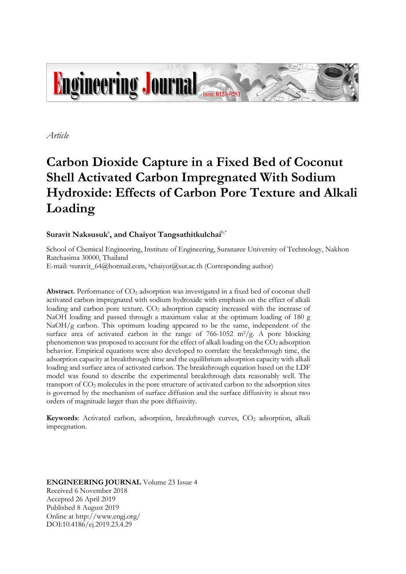

*Article*

# **Carbon Dioxide Capture in a Fixed Bed of Coconut Shell Activated Carbon Impregnated With Sodium Hydroxide: Effects of Carbon Pore Texture and Alkali Loading**

# $S$ uravit Naksusuk<sup>a</sup>, and Chaiyot Tangsathitkulchai<sup>b,\*</sup>

School of Chemical Engineering, Institute of Engineering, Suranaree University of Technology, Nakhon Ratchasima 30000, Thailand

E-mail: <sup>a</sup>suravit\_64@hotmail.com, <sup>b</sup>chaiyot@sut.ac.th (Corresponding author)

**Abstract.** Performance of CO<sup>2</sup> adsorption was investigated in a fixed bed of coconut shell activated carbon impregnated with sodium hydroxide with emphasis on the effect of alkali loading and carbon pore texture. CO<sub>2</sub> adsorption capacity increased with the increase of NaOH loading and passed through a maximum value at the optimum loading of 180 g NaOH/g carbon. This optimum loading appeared to be the same, independent of the surface area of activated carbon in the range of  $766-1052$  m<sup>2</sup>/g. A pore blocking phenomenon was proposed to account for the effect of alkali loading on the CO<sup>2</sup> adsorption behavior. Empirical equations were also developed to correlate the breakthrough time, the adsorption capacity at breakthrough time and the equilibrium adsorption capacity with alkali loading and surface area of activated carbon. The breakthrough equation based on the LDF model was found to describe the experimental breakthrough data reasonably well. The transport of CO<sup>2</sup> molecules in the pore structure of activated carbon to the adsorption sites is governed by the mechanism of surface diffusion and the surface diffusivity is about two orders of magnitude larger than the pore diffusivity.

**Keywords**: Activated carbon, adsorption, breakthrough curves, CO<sup>2</sup> adsorption, alkali impregnation.

**ENGINEERING JOURNAL** Volume 23 Issue 4 Received 6 November 2018 Accepted 26 April 2019 Published 8 August 2019 Online at http://www.engj.org/ DOI:10.4186/ej.2019.23.4.29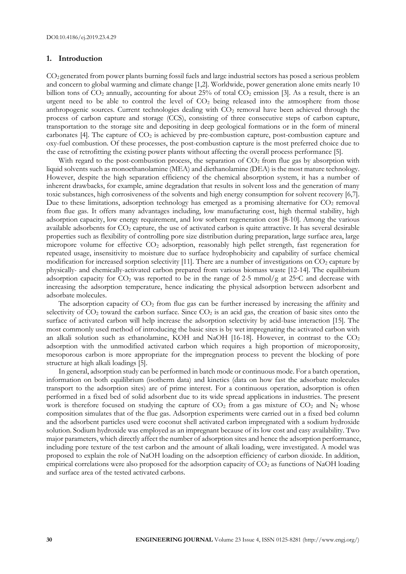# **1. Introduction**

CO2 generated from power plants burning fossil fuels and large industrial sectors has posed a serious problem and concern to global warming and climate change [1,2]. Worldwide, power generation alone emits nearly 10 billion tons of  $CO_2$  annually, accounting for about 25% of total  $CO_2$  emission [3]. As a result, there is an urgent need to be able to control the level of  $CO<sub>2</sub>$  being released into the atmosphere from those anthropogenic sources. Current technologies dealing with CO<sub>2</sub> removal have been achieved through the process of carbon capture and storage (CCS), consisting of three consecutive steps of carbon capture, transportation to the storage site and depositing in deep geological formations or in the form of mineral carbonates [4]. The capture of  $CO<sub>2</sub>$  is achieved by pre-combustion capture, post-combustion capture and oxy-fuel combustion. Of these processes, the post-combustion capture is the most preferred choice due to the ease of retrofitting the existing power plants without affecting the overall process performance [5].

With regard to the post-combustion process, the separation of  $CO<sub>2</sub>$  from flue gas by absorption with liquid solvents such as monoethanolamine (MEA) and diethanolamine (DEA) is the most mature technology. However, despite the high separation efficiency of the chemical absorption system, it has a number of inherent drawbacks, for example, amine degradation that results in solvent loss and the generation of many toxic substances, high corrosiveness of the solvents and high energy consumption for solvent recovery [6,7]. Due to these limitations, adsorption technology has emerged as a promising alternative for  $CO<sub>2</sub>$  removal from flue gas. It offers many advantages including, low manufacturing cost, high thermal stability, high adsorption capacity, low energy requirement, and low sorbent regeneration cost [8-10]. Among the various available adsorbents for CO<sup>2</sup> capture, the use of activated carbon is quite attractive. It has several desirable properties such as flexibility of controlling pore size distribution during preparation, large surface area, large micropore volume for effective CO<sup>2</sup> adsorption, reasonably high pellet strength, fast regeneration for repeated usage, insensitivity to moisture due to surface hydrophobicity and capability of surface chemical modification for increased sorption selectivity [11]. There are a number of investigations on  $CO<sub>2</sub>$  capture by physically- and chemically-activated carbon prepared from various biomass waste [12-14]. The equilibrium adsorption capacity for  $CO_2$  was reported to be in the range of 2-5 mmol/g at 25 $\degree$ C and decrease with increasing the adsorption temperature, hence indicating the physical adsorption between adsorbent and adsorbate molecules.

The adsorption capacity of  $CO<sub>2</sub>$  from flue gas can be further increased by increasing the affinity and selectivity of  $CO<sub>2</sub>$  toward the carbon surface. Since  $CO<sub>2</sub>$  is an acid gas, the creation of basic sites onto the surface of activated carbon will help increase the adsorption selectivity by acid-base interaction [15]. The most commonly used method of introducing the basic sites is by wet impregnating the activated carbon with an alkali solution such as ethanolamine, KOH and NaOH [16-18]. However, in contrast to the CO<sub>2</sub> adsorption with the unmodified activated carbon which requires a high proportion of microporosity, mesoporous carbon is more appropriate for the impregnation process to prevent the blocking of pore structure at high alkali loadings [5].

In general, adsorption study can be performed in batch mode or continuous mode. For a batch operation, information on both equilibrium (isotherm data) and kinetics (data on how fast the adsorbate molecules transport to the adsorption sites) are of prime interest. For a continuous operation, adsorption is often performed in a fixed bed of solid adsorbent due to its wide spread applications in industries. The present work is therefore focused on studying the capture of  $CO<sub>2</sub>$  from a gas mixture of  $CO<sub>2</sub>$  and  $N<sub>2</sub>$  whose composition simulates that of the flue gas. Adsorption experiments were carried out in a fixed bed column and the adsorbent particles used were coconut shell activated carbon impregnated with a sodium hydroxide solution. Sodium hydroxide was employed as an impregnant because of its low cost and easy availability. Two major parameters, which directly affect the number of adsorption sites and hence the adsorption performance, including pore texture of the test carbon and the amount of alkali loading, were investigated. A model was proposed to explain the role of NaOH loading on the adsorption efficiency of carbon dioxide. In addition, empirical correlations were also proposed for the adsorption capacity of CO<sub>2</sub> as functions of NaOH loading and surface area of the tested activated carbons.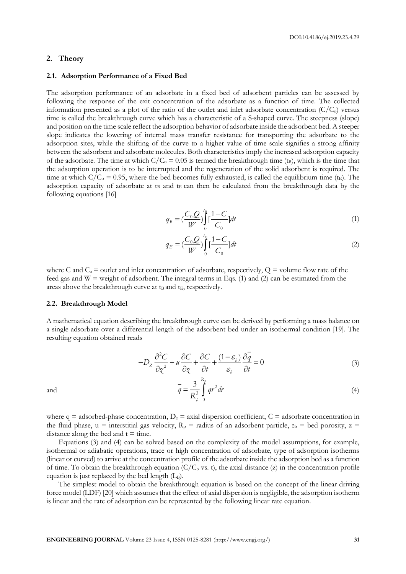## **2. Theory**

## **2.1. Adsorption Performance of a Fixed Bed**

The adsorption performance of an adsorbate in a fixed bed of adsorbent particles can be assessed by following the response of the exit concentration of the adsorbate as a function of time. The collected information presented as a plot of the ratio of the outlet and inlet adsorbate concentration  $(C/C_0)$  versus time is called the breakthrough curve which has a characteristic of a S-shaped curve. The steepness (slope) and position on the time scale reflect the adsorption behavior of adsorbate inside the adsorbent bed. A steeper slope indicates the lowering of internal mass transfer resistance for transporting the adsorbate to the adsorption sites, while the shifting of the curve to a higher value of time scale signifies a strong affinity between the adsorbent and adsorbate molecules. Both characteristics imply the increased adsorption capacity of the adsorbate. The time at which  $C/C_0 = 0.05$  is termed the breakthrough time (t<sub>B</sub>), which is the time that the adsorption operation is to be interrupted and the regeneration of the solid adsorbent is required. The time at which  $C/C_0 = 0.95$ , where the bed becomes fully exhausted, is called the equilibrium time (t<sub>E</sub>). The adsorption capacity of adsorbate at  $t_B$  and  $t_E$  can then be calculated from the breakthrough data by the following equations [16]

$$
q_B = \left(\frac{C_0 Q}{W}\right)_0^B \left[\frac{1 - C}{C_0}\right] dt \tag{1}
$$

$$
q_E = \left(\frac{C_0 Q}{W}\right) \int_0^{t_E} \left[\frac{1 - C}{C_0}\right] dt
$$
 (2)

where C and  $C_0$  = outlet and inlet concentration of adsorbate, respectively,  $Q$  = volume flow rate of the feed gas and  $W =$  weight of adsorbent. The integral terms in Eqs. (1) and (2) can be estimated from the areas above the breakthrough curve at  $t_B$  and  $t_E$ , respectively.

### **2.2. Breakthrough Model**

A mathematical equation describing the breakthrough curve can be derived by performing a mass balance on a single adsorbate over a differential length of the adsorbent bed under an isothermal condition [19]. The resulting equation obtained reads

$$
-D_z \frac{\partial^2 C}{\partial z^2} + u \frac{\partial C}{\partial z} + \frac{\partial C}{\partial t} + \frac{(1 - \varepsilon_h)}{\varepsilon_h} \frac{\partial q}{\partial t} = 0
$$
\n(3)

$$
\bar{q} = \frac{3}{R_p^3} \int_{0}^{R_p} qr^2 dr
$$
\n(4)

and

where  $q =$  adsorbed-phase concentration,  $D_z =$  axial dispersion coefficient,  $C =$  adsorbate concentration in the fluid phase, u = interstitial gas velocity,  $R_p$  = radius of an adsorbent particle,  $\varepsilon_b$  = bed porosity, z = distance along the bed and  $t = time$ .

Equations (3) and (4) can be solved based on the complexity of the model assumptions, for example, isothermal or adiabatic operations, trace or high concentration of adsorbate, type of adsorption isotherms (linear or curved) to arrive at the concentration profile of the adsorbate inside the adsorption bed as a function of time. To obtain the breakthrough equation ( $C/C<sub>o</sub>$  vs. t), the axial distance (z) in the concentration profile equation is just replaced by the bed length  $(L_B)$ .

The simplest model to obtain the breakthrough equation is based on the concept of the linear driving force model (LDF) [20] which assumes that the effect of axial dispersion is negligible, the adsorption isotherm is linear and the rate of adsorption can be represented by the following linear rate equation.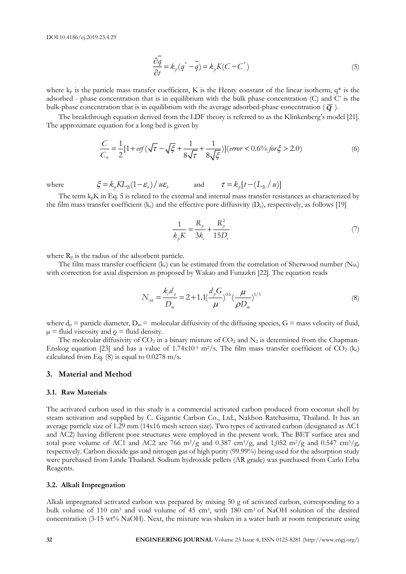$$
\frac{\partial \overline{q}}{\partial t} = k_p(\overline{q}^* - \overline{q}) = k_p K(C - C^*)
$$
\n(5)

where  $k_p$  is the particle mass transfer coefficient, K is the Henry constant of the linear isotherm,  $q^*$  is the adsorbed - phase concentration that is in equilibrium with the bulk phase concentration  $(C)$  and  $C^*$  is the bulk-phase concentration that is in equilibrium with the average adsorbed-phase concentration (  $\overline{q}$  ).

The breakthrough equation derived from the LDF theory is referred to as the Klinkenberg's model [21]. The approximate equation for a long bed is given by

$$
\frac{C}{C_0} = \frac{1}{2} [1 + erf(\sqrt{\tau} - \sqrt{\xi} + \frac{1}{8\sqrt{\tau}} + \frac{1}{8\sqrt{\xi}})](error < 0.6\% \text{ for } \xi > 2.0)
$$
\n(6)

where

$$
\xi = k_p K L_B (1 - \varepsilon_b) / u \varepsilon_b \qquad \text{and} \qquad \tau = k_p [t - (L_B / u)]
$$

The term  $k_pK$  in Eq. 5 is related to the external and internal mass transfer resistances as characterized by the film mass transfer coefficient ( $k_c$ ) and the effective pore diffusivity ( $D_e$ ), respectively, as follows [19]

$$
\frac{1}{k_p K} = \frac{R_p}{3k_c} + \frac{R_p^2}{15D_e}
$$
 (7)

where  $R_p$  is the radius of the adsorbent particle.

The film mass transfer coefficient  $(k_c)$  can be estimated from the correlation of Sherwood number  $(N_{Sh})$ with correction for axial dispersion as proposed by Wakao and Funazkri [22]. The equation reads

$$
N_{Sb} = \frac{k_c d_p}{D_m} = 2 + 1.1 \left(\frac{d_p G}{\mu}\right)^{0.6} \left(\frac{\mu}{\rho D_m}\right)^{1/3}
$$
(8)

where  $d_p =$  particle diameter,  $D_m =$  molecular diffusivity of the diffusing species,  $G =$  mass velocity of fluid,  $\mu$  = fluid viscosity and  $\rho$  = fluid density.

The molecular diffusivity of  $CO_2$  in a binary mixture of  $CO_2$  and  $N_2$  is determined from the Chapman-Enskog equation [23] and has a value of  $1.74x10^{-5}$  m<sup>2</sup>/s. The film mass transfer coefficient of CO<sub>2</sub> (kc) calculated from Eq.  $(8)$  is equal to 0.0278 m/s.

#### **3. Material and Method**

## **3.1. Raw Materials**

**32 ENGINEERING JOURNAL** Volume 23 Issue 4, ISSN 0125-8281 (http://www.engj.org/) The activated carbon used in this study is a commercial activated carbon produced from coconut shell by steam activation and supplied by C. Gigantic Carbon Co., Ltd., Nakhon Ratchasima, Thailand. It has an average particle size of 1.29 mm (14x16 mesh screen size). Two types of activated carbon (designated as AC1 and AC2) having different pore structures were employed in the present work. The BET surface area and total pore volume of AC1 and AC2 are 766 m<sup>2</sup>/g and 0.387 cm<sup>3</sup>/g, and 1,052 m<sup>2</sup>/g and 0.547 cm<sup>3</sup>/g, respectively. Carbon dioxide gas and nitrogen gas of high purity (99.99%) being used for the adsorption study were purchased from Linde Thailand. Sodium hydroxide pellets (AR grade) was purchased from Carlo Erba Reagents.

## **3.2. Alkali Impregnation**

Alkali impregnated activated carbon was prepared by mixing 50 g of activated carbon, corresponding to a bulk volume of 110 cm<sup>3</sup> and void volume of 45 cm<sup>3</sup>, with 180 cm<sup>3</sup> of NaOH solution of the desired concentration (3-15 wt% NaOH). Next, the mixture was shaken in a water bath at room temperature using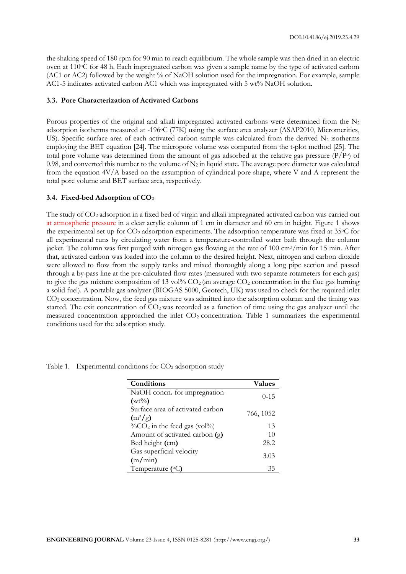the shaking speed of 180 rpm for 90 min to reach equilibrium. The whole sample was then dried in an electric oven at 110oC for 48 h. Each impregnated carbon was given a sample name by the type of activated carbon (AC1 or AC2) followed by the weight % of NaOH solution used for the impregnation. For example, sample AC1-5 indicates activated carbon AC1 which was impregnated with 5 wt% NaOH solution.

# **3.3. Pore Characterization of Activated Carbons**

Porous properties of the original and alkali impregnated activated carbons were determined from the  $N_2$ adsorption isotherms measured at -196°C (77K) using the surface area analyzer (ASAP2010, Micromeritics, US). Specific surface area of each activated carbon sample was calculated from the derived  $N_2$  isotherms employing the BET equation [24]. The micropore volume was computed from the t-plot method [25]. The total pore volume was determined from the amount of gas adsorbed at the relative gas pressure  $(P/P<sub>o</sub>)$  of 0.98, and converted this number to the volume of  $N_2$  in liquid state. The average pore diameter was calculated from the equation 4V/A based on the assumption of cylindrical pore shape, where V and A represent the total pore volume and BET surface area, respectively.

# **3.4. Fixed-bed Adsorption of CO<sup>2</sup>**

The study of CO<sup>2</sup> adsorption in a fixed bed of virgin and alkali impregnated activated carbon was carried out at atmospheric pressure in a clear acrylic column of 1 cm in diameter and 60 cm in height. Figure 1 shows the experimental set up for  $CO_2$  adsorption experiments. The adsorption temperature was fixed at 35 $\degree$ C for all experimental runs by circulating water from a temperature-controlled water bath through the column jacket. The column was first purged with nitrogen gas flowing at the rate of 100 cm3/min for 15 min. After that, activated carbon was loaded into the column to the desired height. Next, nitrogen and carbon dioxide were allowed to flow from the supply tanks and mixed thoroughly along a long pipe section and passed through a by-pass line at the pre-calculated flow rates (measured with two separate rotameters for each gas) to give the gas mixture composition of 13 vol<sup> $\%$ </sup> CO<sub>2</sub> (an average CO<sub>2</sub> concentration in the flue gas burning a solid fuel). A portable gas analyzer (BIOGAS 5000, Geotech, UK) was used to check for the required inlet CO<sup>2</sup> concentration. Now, the feed gas mixture was admitted into the adsorption column and the timing was started. The exit concentration of  $CO<sub>2</sub>$  was recorded as a function of time using the gas analyzer until the measured concentration approached the inlet  $CO<sub>2</sub>$  concentration. Table 1 summarizes the experimental conditions used for the adsorption study.

| Conditions                                                | <b>Values</b> |
|-----------------------------------------------------------|---------------|
| NaOH concn. for impregnation                              | $0 - 15$      |
| $(wt\%)$                                                  |               |
| Surface area of activated carbon                          | 766, 1052     |
| $(m^2/g)$                                                 |               |
| $\%$ CO <sub>2</sub> in the feed gas (vol <sup>\0</sup> ) | 13            |
| Amount of activated carbon (g)                            | 10            |
| Bed height (cm)                                           | 28.2          |
| Gas superficial velocity                                  | 3.03          |
| (m/min)                                                   |               |
| Temperature (°C)                                          | 35            |

Table 1. Experimental conditions for  $CO<sub>2</sub>$  adsorption study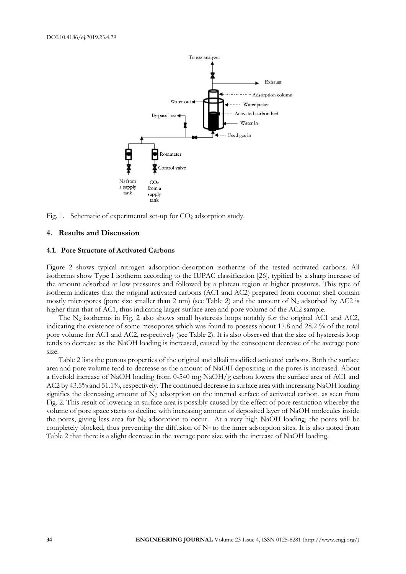

Fig. 1. Schematic of experimental set-up for  $CO<sub>2</sub>$  adsorption study.

#### **4. Results and Discussion**

## **4.1. Pore Structure of Activated Carbons**

Figure 2 shows typical nitrogen adsorption-desorption isotherms of the tested activated carbons. All isotherms show Type I isotherm according to the IUPAC classification [26], typified by a sharp increase of the amount adsorbed at low pressures and followed by a plateau region at higher pressures. This type of isotherm indicates that the original activated carbons (AC1 and AC2) prepared from coconut shell contain mostly micropores (pore size smaller than 2 nm) (see Table 2) and the amount of  $N_2$  adsorbed by AC2 is higher than that of AC1, thus indicating larger surface area and pore volume of the AC2 sample.

The N<sup>2</sup> isotherms in Fig. 2 also shows small hysteresis loops notably for the original AC1 and AC2, indicating the existence of some mesopores which was found to possess about 17.8 and 28.2 % of the total pore volume for AC1 and AC2, respectively (see Table 2). It is also observed that the size of hysteresis loop tends to decrease as the NaOH loading is increased, caused by the consequent decrease of the average pore size.

Table 2 lists the porous properties of the original and alkali modified activated carbons. Both the surface area and pore volume tend to decrease as the amount of NaOH depositing in the pores is increased. About a fivefold increase of NaOH loading from 0-540 mg NaOH/g carbon lowers the surface area of AC1 and AC2 by 43.5% and 51.1%, respectively. The continued decrease in surface area with increasing NaOH loading signifies the decreasing amount of  $N_2$  adsorption on the internal surface of activated carbon, as seen from Fig. 2. This result of lowering in surface area is possibly caused by the effect of pore restriction whereby the volume of pore space starts to decline with increasing amount of deposited layer of NaOH molecules inside the pores, giving less area for  $N_2$  adsorption to occur. At a very high NaOH loading, the pores will be completely blocked, thus preventing the diffusion of  $N_2$  to the inner adsorption sites. It is also noted from Table 2 that there is a slight decrease in the average pore size with the increase of NaOH loading.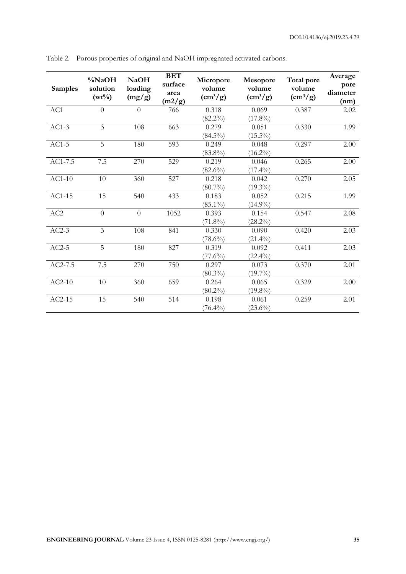| <b>Samples</b>  | %NaOH<br>solution<br>$(wt\%)$ | <b>NaOH</b><br>loading<br>(mg/g) | <b>BET</b><br>surface<br>area<br>(m2/g) | Micropore<br>volume<br>$\left(\frac{\text{cm}^3}{g}\right)$ | Mesopore<br>volume<br>$\left(\frac{\text{cm}^3}{\text{g}}\right)$ | Total pore<br>volume<br>$\left(\frac{\text{cm}^3}{\text{g}}\right)$ | Average<br>pore<br>diameter<br>(nm) |
|-----------------|-------------------------------|----------------------------------|-----------------------------------------|-------------------------------------------------------------|-------------------------------------------------------------------|---------------------------------------------------------------------|-------------------------------------|
| AC1             | $\overline{0}$                | $\theta$                         | 766                                     | 0.318                                                       | 0.069                                                             | 0.387                                                               | 2.02                                |
| $AC1-3$         | 3                             | 108                              | 663                                     | $(82.2\%)$<br>0.279<br>$(84.5\%)$                           | $(17.8\%)$<br>0.051<br>$(15.5\%)$                                 | 0.330                                                               | 1.99                                |
| $AC1-5$         | $\overline{5}$                | 180                              | 593                                     | 0.249<br>$(83.8\%)$                                         | 0.048<br>$(16.2\%)$                                               | 0.297                                                               | 2.00                                |
| AC1-7.5         | 7.5                           | 270                              | 529                                     | 0.219<br>$(82.6\%)$                                         | 0.046<br>$(17.4\%)$                                               | 0.265                                                               | 2.00                                |
| $AC1-10$        | 10                            | 360                              | 527                                     | 0.218<br>$(80.7\%)$                                         | 0.042<br>$(19.3\%)$                                               | 0.270                                                               | 2.05                                |
| AC1-15          | 15                            | 540                              | 433                                     | 0.183<br>$(85.1\%)$                                         | 0.052<br>$(14.9\%)$                                               | 0.215                                                               | 1.99                                |
| AC <sub>2</sub> | $\overline{0}$                | $\overline{0}$                   | 1052                                    | 0.393<br>$(71.8\%)$                                         | 0.154<br>$(28.2\%)$                                               | 0.547                                                               | 2.08                                |
| $AC2-3$         | $\overline{3}$                | 108                              | 841                                     | 0.330<br>$(78.6\%)$                                         | 0.090<br>$(21.4\%)$                                               | 0.420                                                               | 2.03                                |
| $AC2-5$         | 5                             | 180                              | 827                                     | 0.319<br>$(77.6\%)$                                         | 0.092<br>$(22.4\%)$                                               | 0.411                                                               | 2.03                                |
| AC2-7.5         | 7.5                           | 270                              | 750                                     | 0.297<br>$(80.3\%)$                                         | 0.073<br>$(19.7\%)$                                               | 0.370                                                               | 2.01                                |
| $AC2-10$        | 10                            | 360                              | 659                                     | 0.264<br>$(80.2\%)$                                         | 0.065<br>$(19.8\%)$                                               | 0.329                                                               | 2.00                                |
| $AC2-15$        | 15                            | 540                              | 514                                     | 0.198<br>$(76.4\%)$                                         | 0.061<br>$(23.6\%)$                                               | 0.259                                                               | 2.01                                |

Table 2. Porous properties of original and NaOH impregnated activated carbons.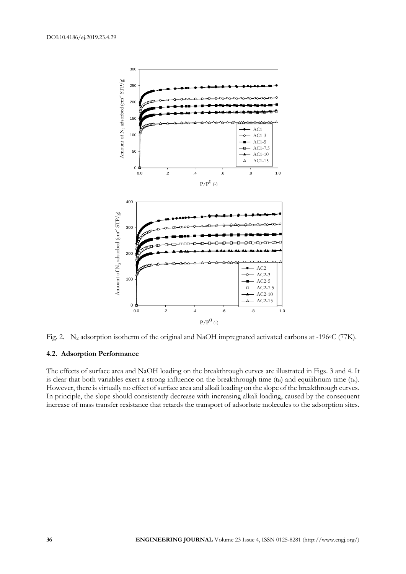

Fig. 2. N<sub>2</sub> adsorption isotherm of the original and NaOH impregnated activated carbons at -196 °C (77K).

# **4.2. Adsorption Performance**

The effects of surface area and NaOH loading on the breakthrough curves are illustrated in Figs. 3 and 4. It is clear that both variables exert a strong influence on the breakthrough time ( $t_B$ ) and equilibrium time ( $t_E$ ). However, there is virtually no effect of surface area and alkali loading on the slope of the breakthrough curves. In principle, the slope should consistently decrease with increasing alkali loading, caused by the consequent increase of mass transfer resistance that retards the transport of adsorbate molecules to the adsorption sites.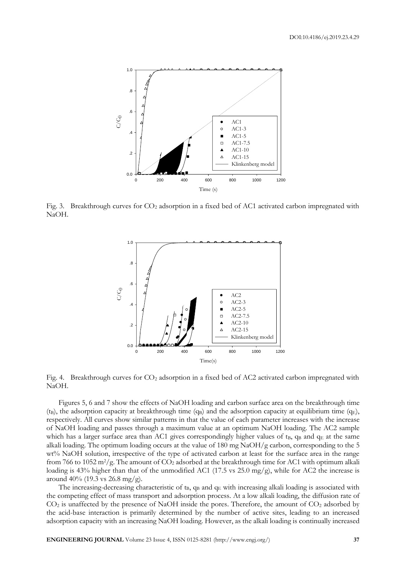

Fig. 3. Breakthrough curves for  $CO_2$  adsorption in a fixed bed of AC1 activated carbon impregnated with NaOH.



Fig. 4. Breakthrough curves for  $CO_2$  adsorption in a fixed bed of AC2 activated carbon impregnated with NaOH.

Figures 5, 6 and 7 show the effects of NaOH loading and carbon surface area on the breakthrough time (t<sub>B</sub>), the adsorption capacity at breakthrough time  $(q_B)$  and the adsorption capacity at equilibrium time  $(q_E)$ , respectively. All curves show similar patterns in that the value of each parameter increases with the increase of NaOH loading and passes through a maximum value at an optimum NaOH loading. The AC2 sample which has a larger surface area than AC1 gives correspondingly higher values of  $t_B$ ,  $q_B$  and  $q_E$  at the same alkali loading. The optimum loading occurs at the value of 180 mg NaOH/g carbon, corresponding to the 5 wt% NaOH solution, irrespective of the type of activated carbon at least for the surface area in the range from 766 to 1052 m<sup>2</sup>/g. The amount of  $CO_2$  adsorbed at the breakthrough time for AC1 with optimum alkali loading is 43% higher than that of the unmodified AC1 (17.5 vs 25.0 mg/g), while for AC2 the increase is around 40% (19.3 vs 26.8 mg/g).

The increasing-decreasing characteristic of  $t_B$ ,  $q_B$  and  $q_E$  with increasing alkali loading is associated with the competing effect of mass transport and adsorption process. At a low alkali loading, the diffusion rate of  $CO<sub>2</sub>$  is unaffected by the presence of NaOH inside the pores. Therefore, the amount of  $CO<sub>2</sub>$  adsorbed by the acid-base interaction is primarily determined by the number of active sites, leading to an increased adsorption capacity with an increasing NaOH loading. However, as the alkali loading is continually increased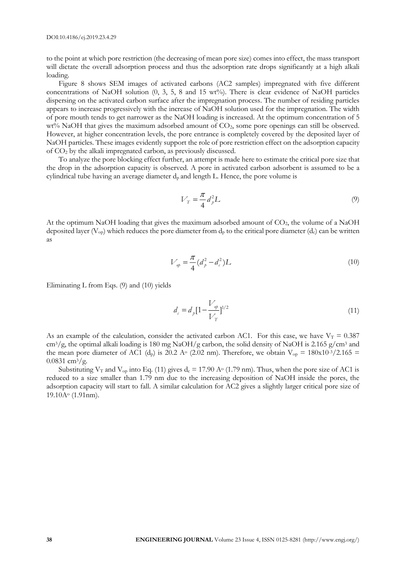to the point at which pore restriction (the decreasing of mean pore size) comes into effect, the mass transport will dictate the overall adsorption process and thus the adsorption rate drops significantly at a high alkali loading.

Figure 8 shows SEM images of activated carbons (AC2 samples) impregnated with five different concentrations of NaOH solution  $(0, 3, 5, 8, 4, 15, 15, 15)$ . There is clear evidence of NaOH particles dispersing on the activated carbon surface after the impregnation process. The number of residing particles appears to increase progressively with the increase of NaOH solution used for the impregnation. The width of pore mouth tends to get narrower as the NaOH loading is increased. At the optimum concentration of 5 wt% NaOH that gives the maximum adsorbed amount of CO<sub>2</sub>, some pore openings can still be observed. However, at higher concentration levels, the pore entrance is completely covered by the deposited layer of NaOH particles. These images evidently support the role of pore restriction effect on the adsorption capacity of CO<sup>2</sup> by the alkali impregnated carbon, as previously discussed.

To analyze the pore blocking effect further, an attempt is made here to estimate the critical pore size that the drop in the adsorption capacity is observed. A pore in activated carbon adsorbent is assumed to be a cylindrical tube having an average diameter  $d_p$  and length L. Hence, the pore volume is

$$
V_T = \frac{\pi}{4} d_p^2 L \tag{9}
$$

At the optimum NaOH loading that gives the maximum adsorbed amount of  $CO<sub>2</sub>$ , the volume of a NaOH deposited layer ( $V_{op}$ ) which reduces the pore diameter from  $d_p$  to the critical pore diameter ( $d_c$ ) can be written as

$$
V_{\varphi} = \frac{\pi}{4} (d_p^2 - d_c^2) L \tag{10}
$$

Eliminating L from Eqs. (9) and (10) yields

$$
d_{c} = d_{p} \left[ 1 - \frac{V_{\varphi}}{V_{T}} \right]^{1/2}
$$
\n(11)

As an example of the calculation, consider the activated carbon AC1. For this case, we have  $V_T = 0.387$ cm3/g, the optimal alkali loading is 180 mg NaOH/g carbon, the solid density of NaOH is 2.165 g/cm<sup>3</sup> and the mean pore diameter of AC1 (d<sub>p</sub>) is 20.2 A<sup>o</sup> (2.02 nm). Therefore, we obtain  $V_{op} = 180x10^{-3}/2.165 =$  $0.0831$  cm<sup>3</sup>/g.

Substituting  $V_T$  and  $V_{op}$  into Eq. (11) gives  $d_c = 17.90$  A<sup>o</sup> (1.79 nm). Thus, when the pore size of AC1 is reduced to a size smaller than 1.79 nm due to the increasing deposition of NaOH inside the pores, the adsorption capacity will start to fall. A similar calculation for AC2 gives a slightly larger critical pore size of 19.10A<sup>o</sup> (1.91nm).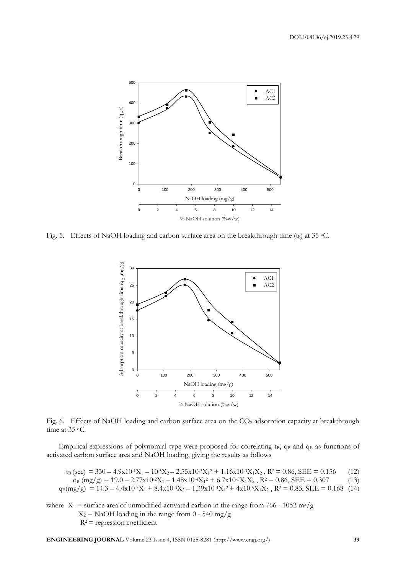

Fig. 5. Effects of NaOH loading and carbon surface area on the breakthrough time (t<sub>b</sub>) at 35 °C.



Fig. 6. Effects of NaOH loading and carbon surface area on the CO<sub>2</sub> adsorption capacity at breakthrough time at 35 °C.

Empirical expressions of polynomial type were proposed for correlating  $t_B$ ,  $q_B$  and  $q_E$  as functions of activated carbon surface area and NaOH loading, giving the results as follows

 $t_{\rm B}$  (sec) = 330 – 4.9x10<sup>-1</sup>X<sub>1</sub> – 10<sup>-3</sup>X<sub>2</sub> – 2.55x10<sup>-3</sup>X<sub>1</sub><sup>2</sup> + 1.16x10<sup>-3</sup>X<sub>1</sub>X<sub>2</sub>, R<sup>2</sup> = 0.86, SEE = 0.156 (12)  $q_B (mg/g) = 19.0 - 2.77x10^{-2}X_1 - 1.48x10^{-4}X_1^2 + 6.7x10^{-5}X_1X_2$ ,  $R^2 = 0.86$ ,  $SEE = 0.307$  (13)  $q_E(mg/g) = 14.3 - 4.4x10^{-3}X_1 + 8.4x10^{-3}X_2 - 1.39x10^{-4}X_1^2 + 4x10^{-5}X_1X_2$ ,  $R^2 = 0.83$ ,  $SEE = 0.168$  (14)

where  $X_1$  = surface area of unmodified activated carbon in the range from 766 - 1052 m<sup>2</sup>/g  $X_2$  = NaOH loading in the range from 0 - 540 mg/g  $R^2$  = regression coefficient

**ENGINEERING JOURNAL** Volume 23 Issue 4, ISSN 0125-8281 (http://www.engj.org/) **39**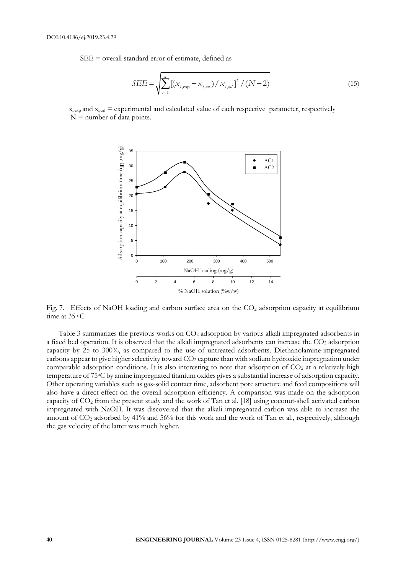SEE = overall standard error of estimate, defined as

$$
SEE = \sqrt{\sum_{i=1}^{n} \left[ \left( x_{i, \text{exp}} - x_{i, \text{cal}} \right) / x_{i, \text{cal}} \right]^2 / (N - 2)}
$$
(15)

 $x_{i,exp}$  and  $x_{i,cal}$  = experimental and calculated value of each respective parameter, respectively  $N =$  number of data points.



Fig. 7. Effects of NaOH loading and carbon surface area on the  $CO<sub>2</sub>$  adsorption capacity at equilibrium time at 35 °C

Table 3 summarizes the previous works on CO<sub>2</sub> adsorption by various alkali impregnated adsorbents in a fixed bed operation. It is observed that the alkali impregnated adsorbents can increase the CO<sub>2</sub> adsorption capacity by 25 to 300%, as compared to the use of untreated adsorbents. Diethanolamine-impregnated carbons appear to give higher selectivity toward CO<sub>2</sub> capture than with sodium hydroxide impregnation under comparable adsorption conditions. It is also interesting to note that adsorption of  $CO<sub>2</sub>$  at a relatively high temperature of 75oC by amine impregnated titanium oxides gives a substantial increase of adsorption capacity. Other operating variables such as gas-solid contact time, adsorbent pore structure and feed compositions will also have a direct effect on the overall adsorption efficiency. A comparison was made on the adsorption capacity of CO<sup>2</sup> from the present study and the work of Tan et al. [18] using coconut-shell activated carbon impregnated with NaOH. It was discovered that the alkali impregnated carbon was able to increase the amount of CO<sup>2</sup> adsorbed by 41% and 56% for this work and the work of Tan et al., respectively, although the gas velocity of the latter was much higher.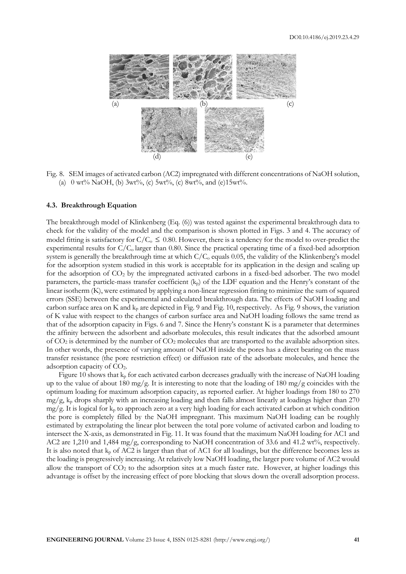

Fig. 8. SEM images of activated carbon (AC2) impregnated with different concentrations of NaOH solution, (a)  $0 \text{ wt\% NaOH},$  (b)  $3 \text{wt\%}$ , (c)  $5 \text{wt\%}$ , (c)  $8 \text{wt\%}$ , and (e) $15 \text{wt\%}$ .

# **4.3. Breakthrough Equation**

The breakthrough model of Klinkenberg (Eq. (6)) was tested against the experimental breakthrough data to check for the validity of the model and the comparison is shown plotted in Figs. 3 and 4. The accuracy of model fitting is satisfactory for  $C/C_0 \leq 0.80$ . However, there is a tendency for the model to over-predict the experimental results for  $C/C_0$  larger than 0.80. Since the practical operating time of a fixed-bed adsorption system is generally the breakthrough time at which  $C/C_0$  equals 0.05, the validity of the Klinkenberg's model for the adsorption system studied in this work is acceptable for its application in the design and scaling up for the adsorption of CO<sub>2</sub> by the impregnated activated carbons in a fixed-bed adsorber. The two model parameters, the particle-mass transfer coefficient  $(k_p)$  of the LDF equation and the Henry's constant of the linear isotherm (K), were estimated by applying a non-linear regression fitting to minimize the sum of squared errors (SSE) between the experimental and calculated breakthrough data. The effects of NaOH loading and carbon surface area on K and  $k_p$  are depicted in Fig. 9 and Fig. 10, respectively. As Fig. 9 shows, the variation of K value with respect to the changes of carbon surface area and NaOH loading follows the same trend as that of the adsorption capacity in Figs. 6 and 7. Since the Henry's constant K is a parameter that determines the affinity between the adsorbent and adsorbate molecules, this result indicates that the adsorbed amount of CO<sup>2</sup> is determined by the number of CO<sup>2</sup> molecules that are transported to the available adsorption sites. In other words, the presence of varying amount of NaOH inside the pores has a direct bearing on the mass transfer resistance (the pore restriction effect) or diffusion rate of the adsorbate molecules, and hence the adsorption capacity of CO2.

Figure 10 shows that  $k_p$  for each activated carbon decreases gradually with the increase of NaOH loading up to the value of about 180 mg/g. It is interesting to note that the loading of 180 mg/g coincides with the optimum loading for maximum adsorption capacity, as reported earlier. At higher loadings from 180 to 270  $mg/g$ ,  $k<sub>p</sub>$  drops sharply with an increasing loading and then falls almost linearly at loadings higher than 270  $mg/g$ . It is logical for  $k_p$  to approach zero at a very high loading for each activated carbon at which condition the pore is completely filled by the NaOH impregnant. This maximum NaOH loading can be roughly estimated by extrapolating the linear plot between the total pore volume of activated carbon and loading to intersect the X-axis, as demonstrated in Fig. 11. It was found that the maximum NaOH loading for AC1 and AC2 are 1,210 and 1,484 mg/g, corresponding to NaOH concentration of 33.6 and 41.2 wt%, respectively. It is also noted that k<sub>p</sub> of AC2 is larger than that of AC1 for all loadings, but the difference becomes less as the loading is progressively increasing. At relatively low NaOH loading, the larger pore volume of AC2 would allow the transport of CO<sub>2</sub> to the adsorption sites at a much faster rate. However, at higher loadings this advantage is offset by the increasing effect of pore blocking that slows down the overall adsorption process.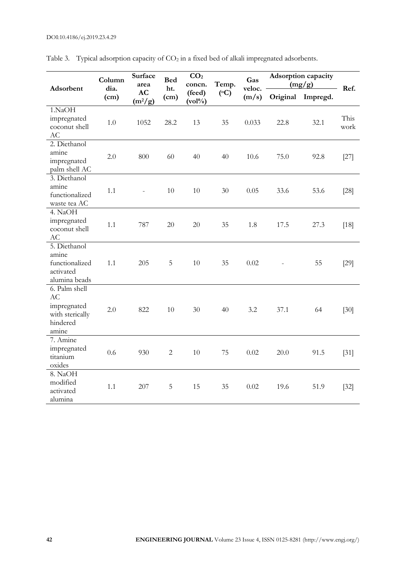| Adsorbent                                                                         | Column<br>dia.<br>(cm) | <b>Surface</b><br>area<br>AC<br>$(m^2/g)$ | <b>Bed</b><br>ht.<br>(cm) | CO <sub>2</sub><br>concn.<br>(feed)<br>$(vol\%)$ | Temp.<br>$({}^{\circ}C)$ | Gas<br>veloc.<br>(m/s) | Adsorption capacity<br>(mg/g) |                   | Ref.         |
|-----------------------------------------------------------------------------------|------------------------|-------------------------------------------|---------------------------|--------------------------------------------------|--------------------------|------------------------|-------------------------------|-------------------|--------------|
|                                                                                   |                        |                                           |                           |                                                  |                          |                        |                               | Original Impregd. |              |
| 1.NaOH<br>impregnated<br>coconut shell<br>AC                                      | 1.0                    | 1052                                      | 28.2                      | 13                                               | 35                       | 0.033                  | 22.8                          | 32.1              | This<br>work |
| 2. Diethanol<br>amine<br>impregnated<br>palm shell AC                             | 2.0                    | 800                                       | 60                        | 40                                               | 40                       | 10.6                   | 75.0                          | 92.8              | $[27]$       |
| 3. Diethanol<br>amine<br>functionalized<br>waste tea AC                           | 1.1                    |                                           | 10                        | 10                                               | 30                       | 0.05                   | 33.6                          | 53.6              | $[28]$       |
| 4. NaOH<br>impregnated<br>coconut shell<br><b>AC</b>                              | 1.1                    | 787                                       | 20                        | 20                                               | 35                       | 1.8                    | 17.5                          | 27.3              | $[18]$       |
| 5. Diethanol<br>amine<br>functionalized<br>activated<br>alumina beads             | 1.1                    | 205                                       | 5                         | 10                                               | 35                       | 0.02                   |                               | 55                | [29]         |
| 6. Palm shell<br><b>AC</b><br>impregnated<br>with sterically<br>hindered<br>amine | 2.0                    | 822                                       | 10                        | 30                                               | 40                       | 3.2                    | 37.1                          | 64                | $[30]$       |
| 7. Amine<br>impregnated<br>titanium<br>oxides                                     | 0.6                    | 930                                       | $\mathbf{2}$              | 10                                               | 75                       | 0.02                   | 20.0                          | 91.5              | $[31]$       |
| 8. NaOH<br>modified<br>activated<br>alumina                                       | 1.1                    | 207                                       | 5                         | 15                                               | 35                       | 0.02                   | 19.6                          | 51.9              | $[32]$       |

Table 3. Typical adsorption capacity of CO<sub>2</sub> in a fixed bed of alkali impregnated adsorbents.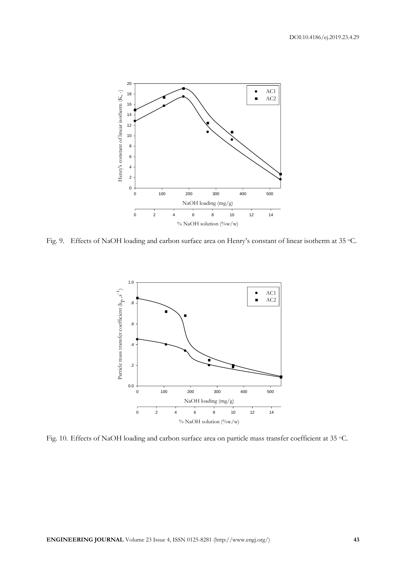

Fig. 9. Effects of NaOH loading and carbon surface area on Henry's constant of linear isotherm at 35 °C.



Fig. 10. Effects of NaOH loading and carbon surface area on particle mass transfer coefficient at 35 °C.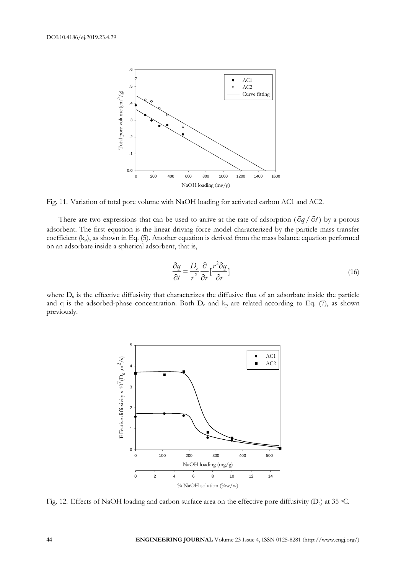

Fig. 11. Variation of total pore volume with NaOH loading for activated carbon AC1 and AC2.

There are two expressions that can be used to arrive at the rate of adsorption  $\left(\frac{\partial q}{\partial t}\right)$  by a porous adsorbent. The first equation is the linear driving force model characterized by the particle mass transfer coefficient  $(k_p)$ , as shown in Eq. (5). Another equation is derived from the mass balance equation performed on an adsorbate inside a spherical adsorbent, that is,

$$
\frac{\partial q}{\partial t} = \frac{D_e}{r^2} \frac{\partial}{\partial r} \left[ \frac{r^2 \partial q}{\partial r} \right]
$$
(16)

where  $D_e$  is the effective diffusivity that characterizes the diffusive flux of an adsorbate inside the particle and q is the adsorbed-phase concentration. Both  $D_e$  and  $k_p$  are related according to Eq. (7), as shown previously.



Fig. 12. Effects of NaOH loading and carbon surface area on the effective pore diffusivity  $(D_e)$  at 35 °C.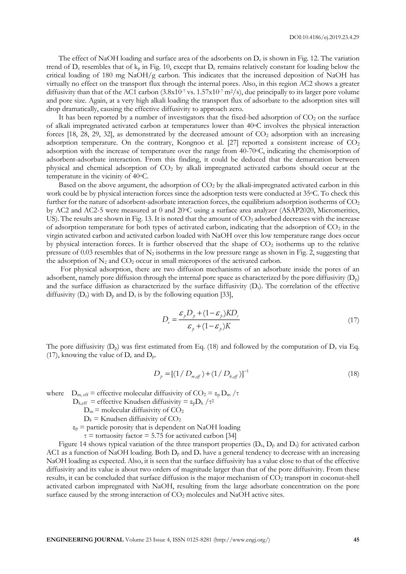The effect of NaOH loading and surface area of the adsorbents on  $D_e$  is shown in Fig. 12. The variation trend of  $D_e$  resembles that of  $k_p$  in Fig. 10, except that  $D_e$  remains relatively constant for loading below the critical loading of 180 mg NaOH/g carbon. This indicates that the increased deposition of NaOH has virtually no effect on the transport flux through the internal pores. Also, in this region AC2 shows a greater diffusivity than that of the AC1 carbon  $(3.8x10^{-7} \text{ vs. } 1.57x10^{-7} \text{ m}^2/\text{s})$ , due principally to its larger pore volume and pore size. Again, at a very high alkali loading the transport flux of adsorbate to the adsorption sites will drop dramatically, causing the effective diffusivity to approach zero.

It has been reported by a number of investigators that the fixed-bed adsorption of  $CO<sub>2</sub>$  on the surface of alkali impregnated activated carbon at temperatures lower than 40oC involves the physical interaction forces  $[18, 28, 29, 32]$ , as demonstrated by the decreased amount of  $CO<sub>2</sub>$  adsorption with an increasing adsorption temperature. On the contrary, Kongnoo et al.  $[27]$  reported a consistent increase of  $CO<sub>2</sub>$ adsorption with the increase of temperature over the range from 40-70oC, indicating the chemisorption of adsorbent-adsorbate interaction. From this finding, it could be deduced that the demarcation between physical and chemical adsorption of CO<sup>2</sup> by alkali impregnated activated carbons should occur at the temperature in the vicinity of 40oC.

Based on the above argument, the adsorption of  $CO<sub>2</sub>$  by the alkali-impregnated activated carbon in this work could be by physical interaction forces since the adsorption tests were conducted at 35°C. To check this further for the nature of adsorbent-adsorbate interaction forces, the equilibrium adsorption isotherms of  $CO<sub>2</sub>$ by AC2 and AC2-5 were measured at 0 and 20 °C using a surface area analyzer (ASAP2020, Micromeritics, US). The results are shown in Fig. 13. It is noted that the amount of  $CO<sub>2</sub>$  adsorbed decreases with the increase of adsorption temperature for both types of activated carbon, indicating that the adsorption of  $CO<sub>2</sub>$  in the virgin activated carbon and activated carbon loaded with NaOH over this low temperature range does occur by physical interaction forces. It is further observed that the shape of  $CO<sub>2</sub>$  isotherms up to the relative pressure of 0.03 resembles that of  $N_2$  isotherms in the low pressure range as shown in Fig. 2, suggesting that the adsorption of  $N_2$  and  $CO_2$  occur in small micropores of the activated carbon.

For physical adsorption, there are two diffusion mechanisms of an adsorbate inside the pores of an adsorbent, namely pore diffusion through the internal pore space as characterized by the pore diffusivity  $(D_p)$ and the surface diffusion as characterized by the surface diffusivity  $(D<sub>s</sub>)$ . The correlation of the effective diffusivity  $(D_e)$  with  $D_p$  and  $D_s$  is by the following equation [33],

$$
D_e = \frac{\varepsilon_p D_p + (1 - \varepsilon_p) K D_s}{\varepsilon_p + (1 - \varepsilon_p) K}
$$
\n(17)

The pore diffusivity  $(D_p)$  was first estimated from Eq. (18) and followed by the computation of  $D_s$  via Eq. (17), knowing the value of  $D_e$  and  $D_p$ .

$$
D_p = [(1/D_{m,eff}) + (1/D_{k,eff})]^{-1}
$$
\n(18)

where  $D_{m, eff}$  = effective molecular diffusivity of  $CO_2 = \epsilon_p D_m / \tau$ 

- $D_{k,eff}$  = effective Knudsen diffusivity =  $\varepsilon_p D_k / \tau^2$ 
	- $D_m$  = molecular diffusivity of  $CO<sub>2</sub>$
	- $D_k$  = Knudsen diffusivity of  $CO_2$
	- $\varepsilon_p$  = particle porosity that is dependent on NaOH loading

 $\tau$  = tortuosity factor = 5.75 for activated carbon [34]

Figure 14 shows typical variation of the three transport properties  $(D_e, D_p$  and  $D_s$ ) for activated carbon AC1 as a function of NaOH loading. Both  $D_p$  and  $D_s$  have a general tendency to decrease with an increasing NaOH loading as expected. Also, it is seen that the surface diffusivity has a value close to that of the effective diffusivity and its value is about two orders of magnitude larger than that of the pore diffusivity. From these results, it can be concluded that surface diffusion is the major mechanism of CO<sub>2</sub> transport in coconut-shell activated carbon impregnated with NaOH, resulting from the large adsorbate concentration on the pore surface caused by the strong interaction of  $CO<sub>2</sub>$  molecules and NaOH active sites.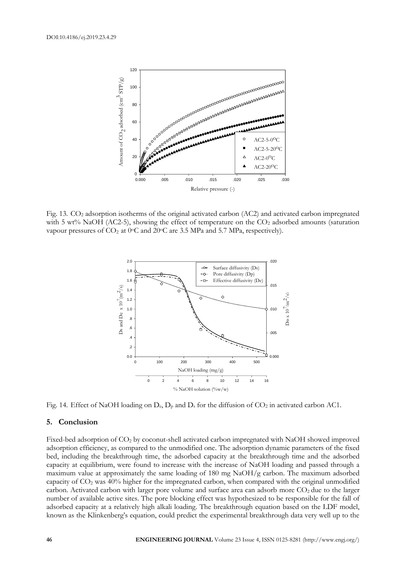

Fig. 13. CO<sup>2</sup> adsorption isotherms of the original activated carbon (AC2) and activated carbon impregnated with 5 wt% NaOH (AC2-5), showing the effect of temperature on the  $CO<sub>2</sub>$  adsorbed amounts (saturation vapour pressures of CO<sub>2</sub> at 0°C and 20°C are 3.5 MPa and 5.7 MPa, respectively).



Fig. 14. Effect of NaOH loading on  $D_e$ ,  $D_p$  and  $D_s$  for the diffusion of  $CO_2$  in activated carbon AC1.

## **5. Conclusion**

Fixed-bed adsorption of CO<sub>2</sub> by coconut-shell activated carbon impregnated with NaOH showed improved adsorption efficiency, as compared to the unmodified one. The adsorption dynamic parameters of the fixed bed, including the breakthrough time, the adsorbed capacity at the breakthrough time and the adsorbed capacity at equilibrium, were found to increase with the increase of NaOH loading and passed through a maximum value at approximately the same loading of 180 mg NaOH/g carbon. The maximum adsorbed capacity of  $CO<sub>2</sub>$  was  $40\%$  higher for the impregnated carbon, when compared with the original unmodified carbon. Activated carbon with larger pore volume and surface area can adsorb more CO<sub>2</sub> due to the larger number of available active sites. The pore blocking effect was hypothesized to be responsible for the fall of adsorbed capacity at a relatively high alkali loading. The breakthrough equation based on the LDF model, known as the Klinkenberg's equation, could predict the experimental breakthrough data very well up to the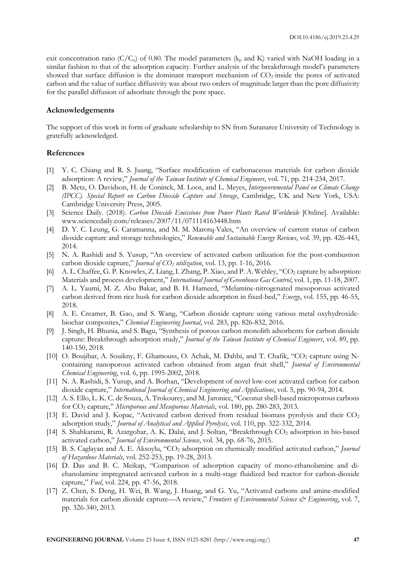exit concentration ratio ( $C/C<sub>o</sub>$ ) of 0.80. The model parameters ( $k<sub>p</sub>$  and K) varied with NaOH loading in a similar fashion to that of the adsorption capacity. Further analysis of the breakthrough model's parameters showed that surface diffusion is the dominant transport mechanism of  $CO<sub>2</sub>$  inside the pores of activated carbon and the value of surface diffusivity was about two orders of magnitude larger than the pore diffusivity for the parallel diffusion of adsorbate through the pore space.

# **Acknowledgements**

The support of this work in form of graduate scholarship to SN from Suranaree University of Technology is gratefully acknowledged.

## **References**

- [1] Y. C. Chiang and R. S. Juang, "Surface modification of carbonaceous materials for carbon dioxide adsorption: A review," *Journal of the Taiwan Institute of Chemical Engineers*, vol. 71, pp. 214-234, 2017.
- [2] B. Metz, O. Davidson, H. de Coninck, M. Loos, and L. Meyes, *Intergovernmental Panel on Climate Change (IPCC). Special Report on Carbon Dioxide Capture and Storage*, Cambridge, UK and New York, USA: Cambridge University Press, 2005.
- [3] Science Daily. (2018). *Carbon Dioxide Emissions from Power Plants Rated Worldwide* [Online]. Available: www.sciencedaily.com/releases/2007/11/071114163448.htm
- [4] D. Y. C. Leung, G. Caramanna, and M. M. Marotq-Vales, "An overview of current status of carbon dioxide capture and storage technologies," *Renewable and Sustainable Energy Reviews*, vol. 39, pp. 426-443, 2014.
- [5] N. A. Rashidi and S. Yusup, "An overview of activated carbon utilization for the post-combustion carbon dioxide capture," *Journal of CO<sup>2</sup> utilization*, vol. 13, pp. 1-16, 2016.
- [6] A. L. Chaffee, G. P. Knowles, Z. Liang, I. Zhang, P. Xiao, and P. A. Webley, "CO2 capture by adsorption: Materials and process development," *International Journal of Greenhouse Gas Control*, vol. 1, pp. 11-18, 2007.
- [7] A. L. Yaumi, M. Z. Abu Bakar, and B. H. Hameed, "Melamine-nitrogenated mesoporous activated carbon derived from rice husk for carbon dioxide adsorption in fixed-bed," *Energy*, vol. 155, pp. 46-55, 2018.
- [8] A. E. Creamer, B. Gao, and S. Wang, "Carbon dioxide capture using various metal oxyhydroxidebiochar composites," *Chemical Engineering Journal*, vol. 283, pp. 826-832, 2016.
- [9] J. Singh, H. Bhunia, and S. Bagu, "Synthesis of porous carbon monolith adsorbents for carbon dioxide capture: Breakthrough adsorption study," *Journal of the Taiwan Institute of Chemical Engineers*, vol. 89, pp. 140-150, 2018.
- [10] O. Boujibar, A. Souikny, F. Ghamouss, O. Achak, M. Dahbi, and T. Chafik, "CO2 capture using Ncontaining nanoporous activated carbon obtained from argan fruit shell," *Journal of Environmental Chemical Engineering*, vol. 6, pp. 1995-2002, 2018.
- [11] N. A. Rashidi, S. Yusup, and A. Borhan, "Development of novel low-cost activated carbon for carbon dioxide capture," *International Journal of Chemical Engineering and Applications*, vol. 5, pp. 90-94, 2014.
- [12] A. S. Ello, L. K. C. de Souza, A. Trokourey, and M. Jaroniec, "Coconut shell-based microporous carbons for CO<sup>2</sup> capture," *Microporous and Mesoporous Materials*, vol. 180, pp. 280-283, 2013.
- [13] E. David and J. Kopac, "Activated carbon derived from residual biomass pyrolysis and their CO<sup>2</sup> adsorption study," *Journal of Analytical and Applied Pyrolysis*, vol. 110, pp. 322-332, 2014.
- [14] S. Shahkarami, R. Azargohar, A. K. Dalai, and J. Soltan, "Breakthrough CO<sup>2</sup> adsorption in bio-based activated carbon," *Journal of Environmental Science*, vol. 34, pp. 68-76, 2015.
- [15] B. S. Caglayan and A. E. Aksoylu, "CO<sup>2</sup> adsorption on chemically modified activated carbon," *Journal of Hazardous Materials*, vol. 252-253, pp. 19-28, 2013.
- [16] D. Das and B. C. Meikap, "Comparison of adsorption capacity of mono-ethanolamine and diehanolamine impregnated activated carbon in a multi-stage fluidized bed reactor for carbon-dioxide capture," *Fuel*, vol. 224, pp. 47-56, 2018.
- [17] Z. Chen, S. Deng, H. Wei, B. Wang, J. Huang, and G. Yu, "Activated carbons and amine-modified materials for carbon dioxide capture—A review," *Frontiers of Environmental Science & Engineering*, vol. 7, pp. 326-340, 2013.